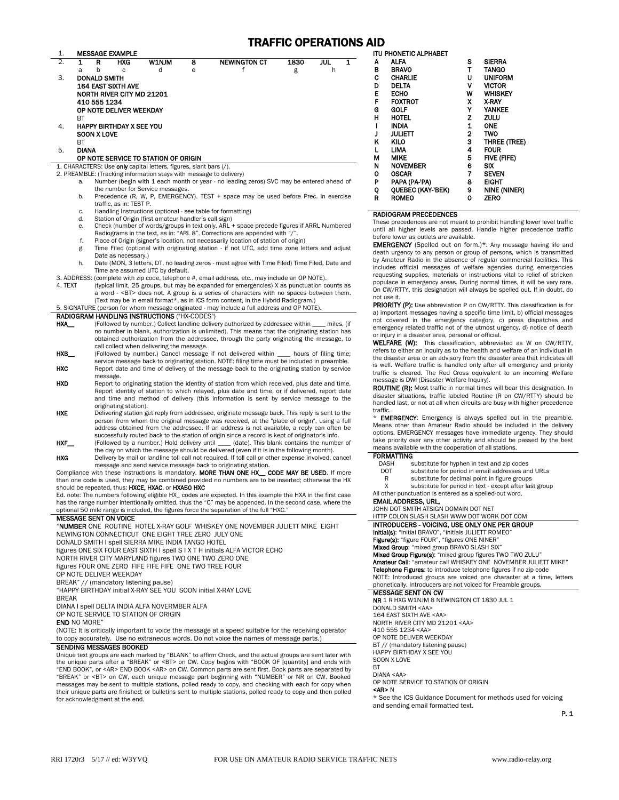## TRAFFIC OPERATIONS AID

|                  |              |                                                                                                                     |     |                                                                    |   |                                                                                                                                                                  | <b>TRAFFIC OPERATIONS A</b> |          |   |
|------------------|--------------|---------------------------------------------------------------------------------------------------------------------|-----|--------------------------------------------------------------------|---|------------------------------------------------------------------------------------------------------------------------------------------------------------------|-----------------------------|----------|---|
| 1.               |              | MESSAGE EXAMPLE                                                                                                     |     |                                                                    |   |                                                                                                                                                                  |                             |          |   |
| $\overline{2}$ . | 1<br>a       | R                                                                                                                   | HXG | <b>W1NJM</b><br>d                                                  | 8 | <b>NEWINGTON CT</b><br>f                                                                                                                                         | 1830                        | jul<br>h | 1 |
| 3.               |              | b<br><b>DONALD SMITH</b>                                                                                            | C   |                                                                    | e |                                                                                                                                                                  | g                           |          |   |
|                  |              | 164 EAST SIXTH AVE                                                                                                  |     |                                                                    |   |                                                                                                                                                                  |                             |          |   |
|                  |              | <b>NORTH RIVER CITY MD 21201</b>                                                                                    |     |                                                                    |   |                                                                                                                                                                  |                             |          |   |
|                  |              | 410 555 1234                                                                                                        |     |                                                                    |   |                                                                                                                                                                  |                             |          |   |
|                  |              | OP NOTE DELIVER WEEKDAY                                                                                             |     |                                                                    |   |                                                                                                                                                                  |                             |          |   |
|                  | <b>BT</b>    |                                                                                                                     |     |                                                                    |   |                                                                                                                                                                  |                             |          |   |
| 4.               |              | <b>HAPPY BIRTHDAY X SEE YOU</b>                                                                                     |     |                                                                    |   |                                                                                                                                                                  |                             |          |   |
|                  |              | <b>SOON X LOVE</b>                                                                                                  |     |                                                                    |   |                                                                                                                                                                  |                             |          |   |
|                  | <b>BT</b>    |                                                                                                                     |     |                                                                    |   |                                                                                                                                                                  |                             |          |   |
| 5.               | <b>DIANA</b> |                                                                                                                     |     |                                                                    |   |                                                                                                                                                                  |                             |          |   |
|                  |              |                                                                                                                     |     | OP NOTE SERVICE TO STATION OF ORIGIN                               |   |                                                                                                                                                                  |                             |          |   |
|                  |              |                                                                                                                     |     | 1. CHARACTERS: Use only capital letters, figures, slant bars (/).  |   |                                                                                                                                                                  |                             |          |   |
|                  |              |                                                                                                                     |     | 2. PREAMBLE: (Tracking information stays with message to delivery) |   |                                                                                                                                                                  |                             |          |   |
|                  | a.           |                                                                                                                     |     |                                                                    |   | Number (begin with 1 each month or year - no leading zeros) SVC may be entered ahead of                                                                          |                             |          |   |
|                  |              |                                                                                                                     |     | the number for Service messages.                                   |   |                                                                                                                                                                  |                             |          |   |
|                  | b.           |                                                                                                                     |     |                                                                    |   | Precedence (R, W, P, EMERGENCY). TEST + space may be used before Prec. in exercise                                                                               |                             |          |   |
|                  |              | traffic, as in: TEST P.                                                                                             |     |                                                                    |   |                                                                                                                                                                  |                             |          |   |
|                  | c.           |                                                                                                                     |     |                                                                    |   | Handling Instructions (optional - see table for formatting)                                                                                                      |                             |          |   |
|                  | d.           |                                                                                                                     |     | Station of Origin (first amateur handler's call sign)              |   |                                                                                                                                                                  |                             |          |   |
|                  | e.           |                                                                                                                     |     |                                                                    |   | Check (number of words/groups in text only. ARL + space precede figures if ARRL Numbered                                                                         |                             |          |   |
|                  | f.           |                                                                                                                     |     |                                                                    |   | Radiograms in the text, as in: "ARL 8". Corrections are appended with "/".<br>Place of Origin (signer's location, not necessarily location of station of origin) |                             |          |   |
|                  | g.           |                                                                                                                     |     |                                                                    |   |                                                                                                                                                                  |                             |          |   |
|                  |              | Time Filed (optional with originating station - if not UTC, add time zone letters and adjust<br>Date as necessary.) |     |                                                                    |   |                                                                                                                                                                  |                             |          |   |
|                  | h.           | Date (MON, 3 letters, DT, no leading zeros - must agree with Time Filed) Time Filed, Date and                       |     |                                                                    |   |                                                                                                                                                                  |                             |          |   |
|                  |              |                                                                                                                     |     | Time are assumed UTC by default.                                   |   |                                                                                                                                                                  |                             |          |   |
|                  |              |                                                                                                                     |     |                                                                    |   | 3. ADDRESS: (complete with zip code, telephone #, email address, etc., may include an OP NOTE).                                                                  |                             |          |   |
| 4. TEXT          |              |                                                                                                                     |     |                                                                    |   | (typical limit, 25 groups, but may be expanded for emergencies) X as punctuation counts as                                                                       |                             |          |   |
|                  |              |                                                                                                                     |     |                                                                    |   | a word - <bt> does not. A group is a series of characters with no spaces between them.</bt>                                                                      |                             |          |   |
|                  |              |                                                                                                                     |     |                                                                    |   | (Text may be in email format*, as in ICS form content, in the Hybrid Radiogram.)                                                                                 |                             |          |   |
|                  |              |                                                                                                                     |     |                                                                    |   | 5. SIGNATURE (person for whom message originated - may include a full address and OP NOTE).                                                                      |                             |          |   |
|                  |              |                                                                                                                     |     | <b>RADIOGRAM HANDLING INSTRUCTIONS ("HX-CODES")</b>                |   |                                                                                                                                                                  |                             |          |   |
| HXA__            |              |                                                                                                                     |     |                                                                    |   | (Followed by number.) Collect landline delivery authorized by addressee within miles, (if                                                                        |                             |          |   |
|                  |              |                                                                                                                     |     |                                                                    |   | no number in blank, authorization is unlimited). This means that the originating station has                                                                     |                             |          |   |
|                  |              |                                                                                                                     |     | call collect when delivering the message.                          |   | obtained authorization from the addressee, through the party originating the message, to                                                                         |                             |          |   |
| HXB              |              |                                                                                                                     |     |                                                                    |   | (Followed by number.) Cancel message if not delivered within hours of filing time;                                                                               |                             |          |   |
|                  |              |                                                                                                                     |     |                                                                    |   | service message back to originating station. NOTE: filing time must be included in preamble.                                                                     |                             |          |   |
| <b>HXC</b>       |              |                                                                                                                     |     |                                                                    |   | Report date and time of delivery of the message back to the originating station by service                                                                       |                             |          |   |
|                  |              | message.                                                                                                            |     |                                                                    |   |                                                                                                                                                                  |                             |          |   |
| <b>HXD</b>       |              |                                                                                                                     |     |                                                                    |   | Report to originating station the identity of station from which received, plus date and time.                                                                   |                             |          |   |
|                  |              |                                                                                                                     |     |                                                                    |   | Report identity of station to which relayed, plus date and time, or if delivered, report date                                                                    |                             |          |   |
|                  |              |                                                                                                                     |     |                                                                    |   | and time and method of delivery (this information is sent by service message to the                                                                              |                             |          |   |
|                  |              | originating station).                                                                                               |     |                                                                    |   |                                                                                                                                                                  |                             |          |   |
| HYF              |              |                                                                                                                     |     |                                                                    |   | Delivering station get reply from addressee originate message hack. This reply is sent to the                                                                    |                             |          |   |

- HXE Delivering station get reply from addressee, originate message back. This reply is sent to the person from whom the original message was received, at the "place of origin", using a full address obtained from the addressee. If an address is not available, a reply can often be successfully routed back to the station of origin since a record is kept of originator's info.
- **HXF** (Followed by a number.) Hold delivery until \_\_\_\_ (date). This blank contains the number of the day on which the message should be delivered (even if it is in the following month). HXG Delivery by mail or landline toll call not required. If toll call or other expense involved, cancel

message and send service message back to originating station.<br>Compliance with these instructions is mandatory. MORE THAN ONE HX\_\_ CODE MAY BE USED. If more than one code is used, they may be combined provided no numbers are to be inserted; otherwise the HX should be repeated, thus: HXCE, HXAC, or HXA50 HXC

Ed. note: The numbers following eligible HX\_ codes are expected. In this example the HXA in the first case<br>has the range number intentionally omitted, thus the "C" may be appended. In the second case, where the optional 50 mile range is included, the figures force the separation of the full "HXC." MESSAGE SENT ON VOICE

"NUMBER ONE ROUTINE HOTEL X-RAY GOLF WHISKEY ONE NOVEMBER JULIETT MIKE EIGHT NEWINGTON CONNECTICUT ONE EIGHT TREE ZERO JULY ONE DONALD SMITH I spell SIERRA MIKE INDIA TANGO HOTEL figures ONE SIX FOUR EAST SIXTH I spell S I X T H initials ALFA VICTOR ECHO NORTH RIVER CITY MARYLAND figures TWO ONE TWO ZERO ONE figures FOUR ONE ZERO FIFE FIFE FIFE ONE TWO TREE FOUR

OP NOTE DELIVER WEEKDAY

BREAK" // (mandatory listening pause)

"HAPPY BIRTHDAY initial X-RAY SEE YOU SOON initial X-RAY LOVE

BREAK

DIANA I spell DELTA INDIA ALFA NOVERMBER ALFA OP NOTE SERVICE TO STATION OF ORIGIN

END NO MORE"

(NOTE: It is critically important to voice the message at a speed suitable for the receiving operator to copy accurately. Use no extraneous words. Do not voice the names of message parts.)

## SENDING MESSAGES BOOKED

Unique text groups are each marked by "BLANK" to affirm Check, and the actual groups are sent later with<br>the unique parts after a "BREAK" or <BT> on CW. Copy begins with "BOOK OF [quantity] and ends with "END BOOK", or <AR> END BOOK <AR> on CW. Common parts are sent first. Book parts are separated by "BREAK" or <BT> on CW, each unique message part beginning with "NUMBER" or NR on CW. Booked messages may be sent to multiple stations, polled ready to copy, and checking with each for copy when their unique parts are finished; or bulletins sent to multiple stations, polled ready to copy and then polled for acknowledgment at the end.

|   | <b>ITU PHONETIC ALPHABET</b> |              |                     |  |  |  |  |
|---|------------------------------|--------------|---------------------|--|--|--|--|
| А | ALFA                         | s            | <b>SIERRA</b>       |  |  |  |  |
| в | <b>BRAVO</b>                 | т            | TANGO               |  |  |  |  |
| C | <b>CHARLIE</b>               | U            | <b>UNIFORM</b>      |  |  |  |  |
| D | DELTA                        | ٧            | <b>VICTOR</b>       |  |  |  |  |
| E | ЕСНО                         | W            | <b>WHISKEY</b>      |  |  |  |  |
| F | <b>FOXTROT</b>               | x            | <b>X RAY</b>        |  |  |  |  |
| G | GOLF                         | Υ            | YANKEE              |  |  |  |  |
| н | <b>HOTEL</b>                 | z            | zulu                |  |  |  |  |
| ı | INDIA                        | 1            | <b>ONE</b>          |  |  |  |  |
| J | JULIETT                      | $\mathbf{2}$ | TWO                 |  |  |  |  |
| κ | <b>KILO</b>                  | 3            | THREE (TREE)        |  |  |  |  |
| L | LIMA                         | 4            | <b>FOUR</b>         |  |  |  |  |
| М | MIKE                         | 5            | <b>FIVE (FIFE)</b>  |  |  |  |  |
| N | NOVEMBER                     | 6            | SIX                 |  |  |  |  |
| 0 | <b>OSCAR</b>                 | 7            | <b>SEVEN</b>        |  |  |  |  |
| P | PAPA (PA-'PA)                | 8            | <b>EIGHT</b>        |  |  |  |  |
| Q | <b>OUEBEC (KAY-'BEK)</b>     | 9            | <b>NINE (NINER)</b> |  |  |  |  |
| R | <b>ROMEO</b>                 | 0            | <b>ZERO</b>         |  |  |  |  |

### RADIOGRAM PRECEDENCES

These precedences are not meant to prohibit handling lower level traffic until all higher levels are passed. Handle higher precedence traffic before lower as outlets are available.

EMERGENCY (Spelled out on form.)\*: Any message having life and death urgency to any person or group of persons, which is transmitted by Amateur Radio in the absence of regular commercial facilities. This includes official messages of welfare agencies during emergencies requesting supplies, materials or instructions vital to relief of stricken populace in emergency areas. During normal times, it will be very rare. On CW/RTTY, this designation will always be spelled out. If in doubt, do not use it.

PRIORITY (P): Use abbreviation P on CW/RTTY. This classification is for a) important messages having a specific time limit, b) official messages not covered in the emergency category, c) press dispatches and emergency related traffic not of the utmost urgency, d) notice of death or injury in a disaster area, personal or official.

WELFARE (W): This classification, abbreviated as W on CW/RTTY, refers to either an inquiry as to the health and welfare of an individual in the disaster area or an advisory from the disaster area that indicates all is well. Welfare traffic is handled only after all emergency and priority traffic is cleared. The Red Cross equivalent to an incoming Welfare message is DWI (Disaster Welfare Inquiry).

ROUTINE (R): Most traffic in normal times will bear this designation. In disaster situations, traffic labeled Routine (R on CW/RTTY) should be handled last, or not at all when circuits are busy with higher precedence traffic.

**EMERGENCY:** Emergency is always spelled out in the preamble. Means other than Amateur Radio should be included in the delivery options. EMERGENCY messages have immediate urgency. They should take priority over any other activity and should be passed by the best means available with the cooperation of all stations.

## **FORMATTING**

| <b>DASH</b> | substitute for hyphen in text and zip codes |
|-------------|---------------------------------------------|
|-------------|---------------------------------------------|

- DOT substitute for period in email addresses and URLs
- R substitute for decimal point in figure groups
- X substitute for period in text except after last group All other punctuation is entered as a spelled-out word.

EMAIL ADDRESS, URL, JOHN DOT SMITH ATSIGN DOMAIN DOT NET

| HTTP COLON SLASH SLASH WWW DOT WORK DOT COM                         |
|---------------------------------------------------------------------|
| INTRODUCERS - VOICING. USE ONLY ONE PER GROUP                       |
| Initial(s): "initial BRAVO", "initials JULIETT ROMEO"               |
| Figure(s): "figure FOUR", "figures ONE NINER"                       |
| Mixed Group: "mixed group BRAVO SLASH SIX"                          |
| <b>Mixed Group Figure(s)</b> : "mixed group figures TWO TWO ZULU"   |
| Amateur Call: "amateur call WHISKEY ONE NOVEMBER JULIETT MIKE"      |
| Telephone Figures: to introduce telephone figures if no zip code    |
| NOTE: Introduced groups are voiced one character at a time, letters |
| phonetically. Introducers are not voiced for Preamble groups.       |
| <b>MESSAGE SENT ON CW</b>                                           |
| <b>NR</b> 1 R HXG W1NJM 8 NEWINGTON CT 1830 JUL 1                   |
| DONALD SMITH <aa></aa>                                              |
| 164 EAST SIXTH AVE <aa></aa>                                        |
| NORTH RIVER CITY MD 21201 <aa></aa>                                 |
| 410 555 1234 <aa></aa>                                              |
| OP NOTE DELIVER WEEKDAY                                             |
| BT // (mandatory listening pause)                                   |
| HAPPY BIRTHDAY X SEE YOU                                            |
| SOON X LOVE                                                         |
| RТ                                                                  |
| DIANA <aa></aa>                                                     |
| OP NOTE SERVICE TO STATION OF ORIGIN                                |
| 2AD < N                                                             |

<AR> N \* See the ICS Guidance Document for methods used for voicing and sending email formatted text.